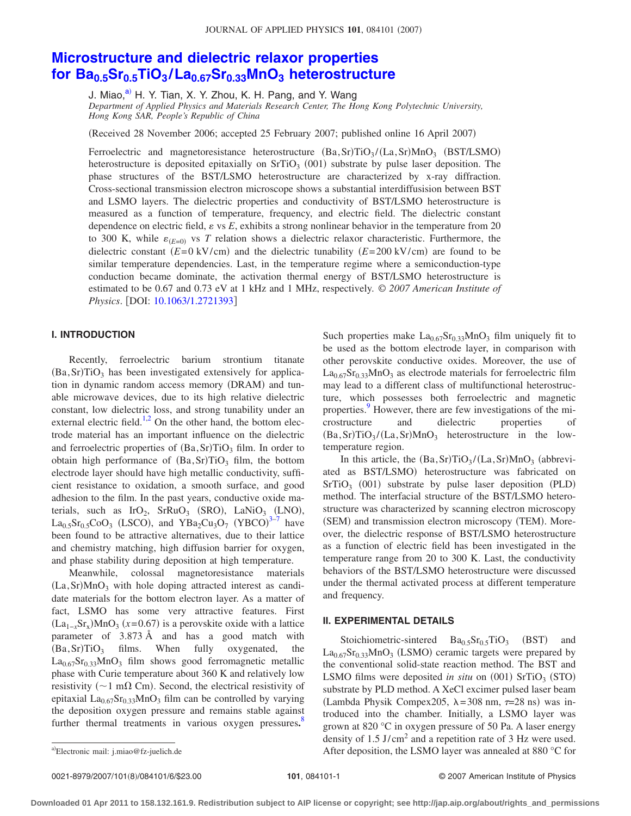# **[Microstructure and dielectric relaxor properties](http://dx.doi.org/10.1063/1.2721393) [for Ba0.5Sr0.5TiO3](http://dx.doi.org/10.1063/1.2721393) /La0.67Sr0.33MnO3 heterostructure**

J. Miao,<sup>a)</sup> H. Y. Tian, X. Y. Zhou, K. H. Pang, and Y. Wang

*Department of Applied Physics and Materials Research Center, The Hong Kong Polytechnic University, Hong Kong SAR, People's Republic of China*

(Received 28 November 2006; accepted 25 February 2007; published online 16 April 2007)

Ferroelectric and magnetoresistance heterostructure  $(Ba, Sr)TiO<sub>3</sub> / (La, Sr) MnO<sub>3</sub>$  (BST/LSMO) heterostructure is deposited epitaxially on  $SrTiO<sub>3</sub>$  (001) substrate by pulse laser deposition. The phase structures of the BST/LSMO heterostructure are characterized by x-ray diffraction. Cross-sectional transmission electron microscope shows a substantial interdiffusision between BST and LSMO layers. The dielectric properties and conductivity of BST/LSMO heterostructure is measured as a function of temperature, frequency, and electric field. The dielectric constant dependence on electric field,  $\varepsilon$  vs  $E$ , exhibits a strong nonlinear behavior in the temperature from 20 to 300 K, while  $\varepsilon_{(E=0)}$  vs *T* relation shows a dielectric relaxor characteristic. Furthermore, the dielectric constant  $(E=0 \text{ kV/cm})$  and the dielectric tunability  $(E=200 \text{ kV/cm})$  are found to be similar temperature dependencies. Last, in the temperature regime where a semiconduction-type conduction became dominate, the activation thermal energy of BST/LSMO heterostructure is estimated to be 0.67 and 0.73 eV at 1 kHz and 1 MHz, respectively. © *2007 American Institute of Physics.* [DOI: [10.1063/1.2721393](http://dx.doi.org/10.1063/1.2721393)]

## **I. INTRODUCTION**

Recently, ferroelectric barium strontium titanate  $(Ba, Sr) TiO<sub>3</sub>$  has been investigated extensively for application in dynamic random access memory (DRAM) and tunable microwave devices, due to its high relative dielectric constant, low dielectric loss, and strong tunability under an external electric field.<sup>1,[2](#page-5-1)</sup> On the other hand, the bottom electrode material has an important influence on the dielectric and ferroelectric properties of (Ba, Sr)TiO<sub>3</sub> film. In order to obtain high performance of  $(Ba, Sr)TiO<sub>3</sub>$  film, the bottom electrode layer should have high metallic conductivity, sufficient resistance to oxidation, a smooth surface, and good adhesion to the film. In the past years, conductive oxide materials, such as  $IrO_2$ ,  $SrRuO_3$  (SRO),  $LaNiO_3$  (LNO),  $La_{0.5}Sr_{0.5}CoO_3$  (LSCO), and  $YBa_2Cu_3O_7$  $YBa_2Cu_3O_7$  (YBCO)<sup>3-7</sup> have been found to be attractive alternatives, due to their lattice and chemistry matching, high diffusion barrier for oxygen, and phase stability during deposition at high temperature.

Meanwhile, colossal magnetoresistance materials (La, Sr)MnO<sub>3</sub> with hole doping attracted interest as candidate materials for the bottom electron layer. As a matter of fact, LSMO has some very attractive features. First  $(La_{1-x}Sr_x)MnO_3$  (x=0.67) is a perovskite oxide with a lattice parameter of 3.873 Å and has a good match with  $(Ba, Sr) TiO<sub>3</sub>$  films. When fully oxygenated, the  $La<sub>0.67</sub>Sr<sub>0.33</sub>MnO<sub>3</sub>$  film shows good ferromagnetic metallic phase with Curie temperature about 360 K and relatively low resistivity ( $\sim$ 1 m $\Omega$  Cm). Second, the electrical resistivity of epitaxial La<sub>0.67</sub>Sr<sub>0.33</sub>MnO<sub>3</sub> film can be controlled by varying the deposition oxygen pressure and remains stable against further thermal treatments in various oxygen pressures.<sup>[8](#page-5-4)</sup>

Such properties make  $La_{0.67}Sr_{0.33}MnO_3$  film uniquely fit to be used as the bottom electrode layer, in comparison with other perovskite conductive oxides. Moreover, the use of  $La<sub>0.67</sub>Sr<sub>0.33</sub>MnO<sub>3</sub>$  as electrode materials for ferroelectric film may lead to a different class of multifunctional heterostructure, which possesses both ferroelectric and magnetic properties. However, there are few investigations of the microstructure and dielectric properties of  $(Ba, Sr) TiO<sub>3</sub> / (La, Sr) MnO<sub>3</sub>$  heterostructure in the lowtemperature region.

In this article, the  $(Ba, Sr)TiO<sub>3</sub>/(La, Sr)MnO<sub>3</sub>$  (abbreviated as BST/LSMO) heterostructure was fabricated on SrTiO<sub>3</sub> (001) substrate by pulse laser deposition (PLD) method. The interfacial structure of the BST/LSMO heterostructure was characterized by scanning electron microscopy (SEM) and transmission electron microscopy (TEM). Moreover, the dielectric response of BST/LSMO heterostructure as a function of electric field has been investigated in the temperature range from 20 to 300 K. Last, the conductivity behaviors of the BST/LSMO heterostructure were discussed under the thermal activated process at different temperature and frequency.

#### **II. EXPERIMENTAL DETAILS**

Stoichiometric-sintered  $Ba_{0.5}Sr_{0.5}TiO_3$  (BST) and  $La<sub>0.67</sub>Sr<sub>0.33</sub>MnO<sub>3</sub>$  (LSMO) ceramic targets were prepared by the conventional solid-state reaction method. The BST and LSMO films were deposited *in situ* on (001) SrTiO<sub>3</sub> (STO) substrate by PLD method. A XeCl excimer pulsed laser beam (Lambda Physik Compex205,  $\lambda = 308$  nm,  $\tau = 28$  ns) was introduced into the chamber. Initially, a LSMO layer was grown at 820 °C in oxygen pressure of 50 Pa. A laser energy density of 1.5 J/cm<sup>2</sup> and a repetition rate of 3 Hz were used. After deposition, the LSMO layer was annealed at 880  $^{\circ}$ C for

<span id="page-0-0"></span>Electronic mail: j.miao@fz-juelich.de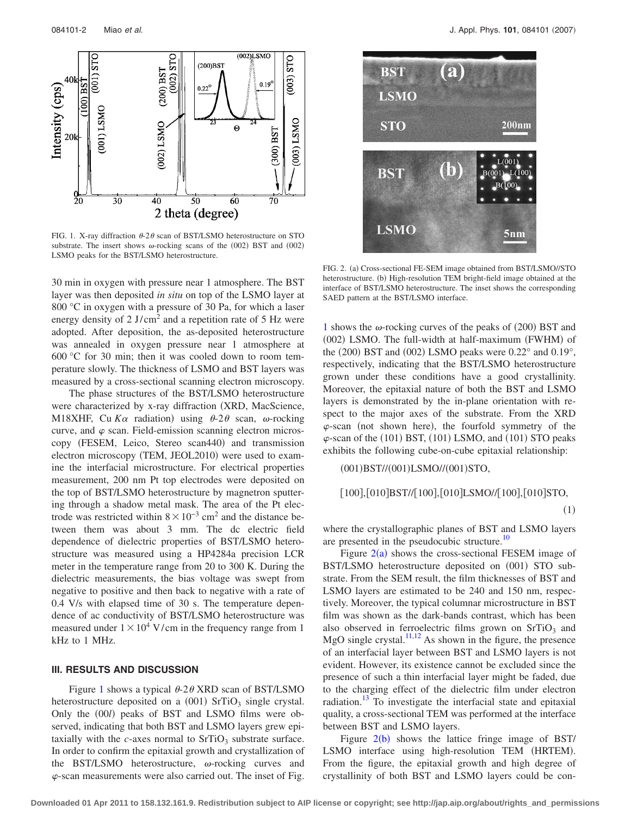<span id="page-1-0"></span>

FIG. 1. X-ray diffraction  $\theta$ -2 $\theta$  scan of BST/LSMO heterostructure on STO substrate. The insert shows  $\omega$ -rocking scans of the (002) BST and (002) LSMO peaks for the BST/LSMO heterostructure.

30 min in oxygen with pressure near 1 atmosphere. The BST layer was then deposited *in situ* on top of the LSMO layer at 800 °C in oxygen with a pressure of 30 Pa, for which a laser energy density of  $2 \text{ J/cm}^2$  and a repetition rate of 5 Hz were adopted. After deposition, the as-deposited heterostructure was annealed in oxygen pressure near 1 atmosphere at 600 °C for 30 min; then it was cooled down to room temperature slowly. The thickness of LSMO and BST layers was measured by a cross-sectional scanning electron microscopy.

The phase structures of the BST/LSMO heterostructure were characterized by x-ray diffraction (XRD, MacScience, M18XHF, Cu  $K\alpha$  radiation) using  $\theta$ -2 $\theta$  scan,  $\omega$ -rocking curve, and  $\varphi$  scan. Field-emission scanning electron microscopy (FESEM, Leico, Stereo scan440) and transmission electron microscopy (TEM, JEOL2010) were used to examine the interfacial microstructure. For electrical properties measurement, 200 nm Pt top electrodes were deposited on the top of BST/LSMO heterostructure by magnetron sputtering through a shadow metal mask. The area of the Pt electrode was restricted within  $8 \times 10^{-3}$  cm<sup>2</sup> and the distance between them was about 3 mm. The dc electric field dependence of dielectric properties of BST/LSMO heterostructure was measured using a HP4284a precision LCR meter in the temperature range from 20 to 300 K. During the dielectric measurements, the bias voltage was swept from negative to positive and then back to negative with a rate of 0.4 V/s with elapsed time of 30 s. The temperature dependence of ac conductivity of BST/LSMO heterostructure was measured under  $1 \times 10^4$  V/cm in the frequency range from 1 kHz to 1 MHz.

## **III. RESULTS AND DISCUSSION**

Figure [1](#page-1-0) shows a typical  $\theta$ -2 $\theta$  XRD scan of BST/LSMO heterostructure deposited on a  $(001)$  SrTiO<sub>3</sub> single crystal. Only the (00*l*) peaks of BST and LSMO films were observed, indicating that both BST and LSMO layers grew epitaxially with the  $c$ -axes normal to  $SrTiO<sub>3</sub>$  substrate surface. In order to confirm the epitaxial growth and crystallization of the BST/LSMO heterostructure,  $\omega$ -rocking curves and  $\varphi$ -scan measurements were also carried out. The inset of Fig.

<span id="page-1-1"></span>

FIG. 2. (a) Cross-sectional FE-SEM image obtained from BST/LSMO//STO heterostructure. (b) High-resolution TEM bright-field image obtained at the interface of BST/LSMO heterostructure. The inset shows the corresponding SAED pattern at the BST/LSMO interface.

[1](#page-1-0) shows the  $\omega$ -rocking curves of the peaks of (200) BST and (002) LSMO. The full-width at half-maximum (FWHM) of the  $(200)$  BST and  $(002)$  LSMO peaks were  $0.22^{\circ}$  and  $0.19^{\circ}$ , respectively, indicating that the BST/LSMO heterostructure grown under these conditions have a good crystallinity. Moreover, the epitaxial nature of both the BST and LSMO layers is demonstrated by the in-plane orientation with respect to the major axes of the substrate. From the XRD  $\varphi$ -scan (not shown here), the fourfold symmetry of the  $\varphi$ -scan of the (101) BST, (101) LSMO, and (101) STO peaks exhibits the following cube-on-cube epitaxial relationship:

(001) BST//(001) LSMO//(001) STO,

$$
[100],[010]BST//[100],[010]LSMO/[100],[010]STO,
$$

$$
(1)
$$

where the crystallographic planes of BST and LSMO layers are presented in the pseudocubic structure.<sup>10</sup>

Figure  $2(a)$  $2(a)$  shows the cross-sectional FESEM image of BST/LSMO heterostructure deposited on (001) STO substrate. From the SEM result, the film thicknesses of BST and LSMO layers are estimated to be 240 and 150 nm, respectively. Moreover, the typical columnar microstructure in BST film was shown as the dark-bands contrast, which has been also observed in ferroelectric films grown on  $SrTiO<sub>3</sub>$  and MgO single crystal.<sup>11,[12](#page-5-8)</sup> As shown in the figure, the presence of an interfacial layer between BST and LSMO layers is not evident. However, its existence cannot be excluded since the presence of such a thin interfacial layer might be faded, due to the charging effect of the dielectric film under electron radiation.<sup>13</sup> To investigate the interfacial state and epitaxial quality, a cross-sectional TEM was performed at the interface between BST and LSMO layers.

Figure  $2(b)$  $2(b)$  shows the lattice fringe image of BST/ LSMO interface using high-resolution TEM (HRTEM). From the figure, the epitaxial growth and high degree of crystallinity of both BST and LSMO layers could be con-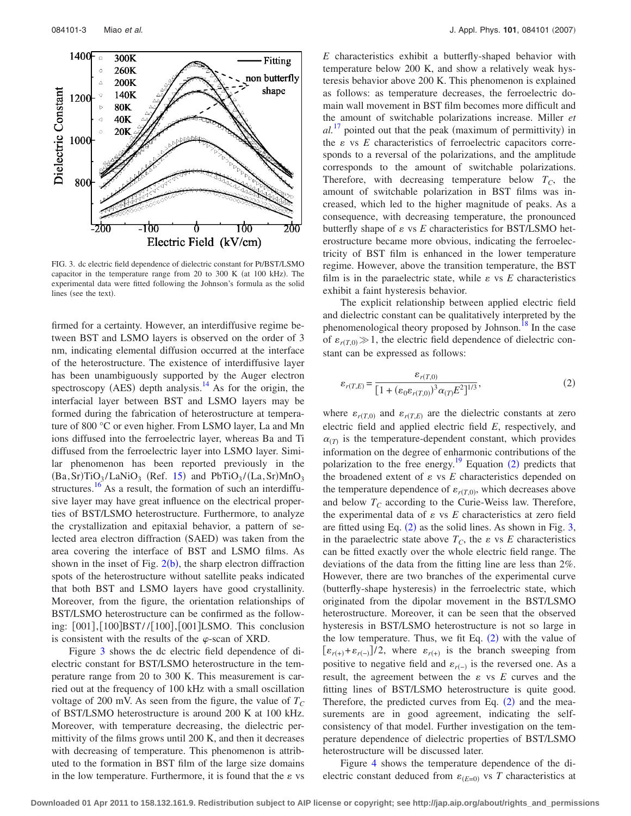<span id="page-2-0"></span>

FIG. 3. dc electric field dependence of dielectric constant for Pt/BST/LSMO capacitor in the temperature range from  $20$  to  $300$  K (at  $100$  kHz). The experimental data were fitted following the Johnson's formula as the solid lines (see the text).

firmed for a certainty. However, an interdiffusive regime between BST and LSMO layers is observed on the order of 3 nm, indicating elemental diffusion occurred at the interface of the heterostructure. The existence of interdiffusive layer has been unambiguously supported by the Auger electron spectroscopy (AES) depth analysis.<sup>14</sup> As for the origin, the interfacial layer between BST and LSMO layers may be formed during the fabrication of heterostructure at temperature of 800 °C or even higher. From LSMO layer, La and Mn ions diffused into the ferroelectric layer, whereas Ba and Ti diffused from the ferroelectric layer into LSMO layer. Similar phenomenon has been reported previously in the  $(Ba, Sr)TiO<sub>3</sub>/LaNiO<sub>3</sub>$  (Ref. [15](#page-5-11)) and PbTiO<sub>3</sub>/(La,Sr)MnO<sub>3</sub> structures.<sup>16</sup> As a result, the formation of such an interdiffusive layer may have great influence on the electrical properties of BST/LSMO heterostructure. Furthermore, to analyze the crystallization and epitaxial behavior, a pattern of selected area electron diffraction (SAED) was taken from the area covering the interface of BST and LSMO films. As shown in the inset of Fig.  $2(b)$  $2(b)$ , the sharp electron diffraction spots of the heterostructure without satellite peaks indicated that both BST and LSMO layers have good crystallinity. Moreover, from the figure, the orientation relationships of BST/LSMO heterostructure can be confirmed as the following: [001], [100] BST//[100], [001] LSMO. This conclusion is consistent with the results of the  $\varphi$ -scan of XRD.

Figure [3](#page-2-0) shows the dc electric field dependence of dielectric constant for BST/LSMO heterostructure in the temperature range from 20 to 300 K. This measurement is carried out at the frequency of 100 kHz with a small oscillation voltage of 200 mV. As seen from the figure, the value of  $T_C$ of BST/LSMO heterostructure is around 200 K at 100 kHz. Moreover, with temperature decreasing, the dielectric permittivity of the films grows until 200 K, and then it decreases with decreasing of temperature. This phenomenon is attributed to the formation in BST film of the large size domains in the low temperature. Furthermore, it is found that the  $\varepsilon$  vs *E* characteristics exhibit a butterfly-shaped behavior with temperature below 200 K, and show a relatively weak hysteresis behavior above 200 K. This phenomenon is explained as follows: as temperature decreases, the ferroelectric domain wall movement in BST film becomes more difficult and the amount of switchable polarizations increase. Miller *et*  $al.$ <sup>[17](#page-5-13)</sup> pointed out that the peak (maximum of permittivity) in the  $\varepsilon$  vs  $E$  characteristics of ferroelectric capacitors corresponds to a reversal of the polarizations, and the amplitude corresponds to the amount of switchable polarizations. Therefore, with decreasing temperature below  $T_c$ , the amount of switchable polarization in BST films was increased, which led to the higher magnitude of peaks. As a consequence, with decreasing temperature, the pronounced butterfly shape of  $\varepsilon$  vs  $E$  characteristics for BST/LSMO heterostructure became more obvious, indicating the ferroelectricity of BST film is enhanced in the lower temperature regime. However, above the transition temperature, the BST film is in the paraelectric state, while  $\varepsilon$  vs  $E$  characteristics exhibit a faint hysteresis behavior.

The explicit relationship between applied electric field and dielectric constant can be qualitatively interpreted by the phenomenological theory proposed by Johnson.<sup>18</sup> In the case of  $\varepsilon_{r(T,0)} \gg 1$ , the electric field dependence of dielectric constant can be expressed as follows:

<span id="page-2-1"></span>
$$
\varepsilon_{r(T,E)} = \frac{\varepsilon_{r(T,0)}}{\left[1 + \left(\varepsilon_0 \varepsilon_{r(T,0)}\right)^3 \alpha_{(T)} E^2\right]^{1/3}},\tag{2}
$$

where  $\varepsilon_{r(T,0)}$  and  $\varepsilon_{r(T,E)}$  are the dielectric constants at zero electric field and applied electric field *E*, respectively, and  $\alpha_{(T)}$  is the temperature-dependent constant, which provides information on the degree of enharmonic contributions of the polarization to the free energy.<sup>19</sup> Equation  $(2)$  $(2)$  $(2)$  predicts that the broadened extent of  $\varepsilon$  vs  $E$  characteristics depended on the temperature dependence of  $\varepsilon_{r(T,0)}$ , which decreases above and below  $T_c$  according to the Curie-Weiss law. Therefore, the experimental data of  $\varepsilon$  vs  $E$  characteristics at zero field are fitted using Eq.  $(2)$  $(2)$  $(2)$  as the solid lines. As shown in Fig. [3,](#page-2-0) in the paraelectric state above  $T_c$ , the  $\varepsilon$  vs  $E$  characteristics can be fitted exactly over the whole electric field range. The deviations of the data from the fitting line are less than 2%. However, there are two branches of the experimental curve (butterfly-shape hysteresis) in the ferroelectric state, which originated from the dipolar movement in the BST/LSMO heterostructure. Moreover, it can be seen that the observed hysteresis in BST/LSMO heterostructure is not so large in the low temperature. Thus, we fit Eq.  $(2)$  $(2)$  $(2)$  with the value of  $[\varepsilon_{r(+)} + \varepsilon_{r(-)}]/2$ , where  $\varepsilon_{r(+)}$  is the branch sweeping from positive to negative field and  $\varepsilon_{r(-)}$  is the reversed one. As a result, the agreement between the  $\varepsilon$  vs  $E$  curves and the fitting lines of BST/LSMO heterostructure is quite good. Therefore, the predicted curves from Eq.  $(2)$  $(2)$  $(2)$  and the measurements are in good agreement, indicating the selfconsistency of that model. Further investigation on the temperature dependence of dielectric properties of BST/LSMO heterostructure will be discussed later.

Figure [4](#page-3-0) shows the temperature dependence of the dielectric constant deduced from  $\varepsilon_{(E=0)}$  vs *T* characteristics at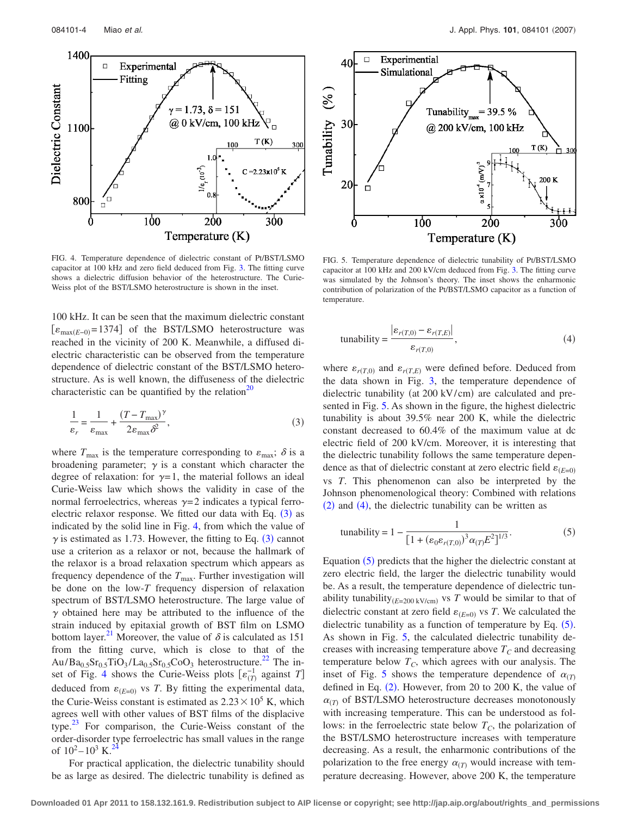<span id="page-3-0"></span>

FIG. 4. Temperature dependence of dielectric constant of Pt/BST/LSMO capacitor at 100 kHz and zero field deduced from Fig. [3.](#page-2-0) The fitting curve shows a dielectric diffusion behavior of the heterostructure. The Curie-Weiss plot of the BST/LSMO heterostructure is shown in the inset.

100 kHz. It can be seen that the maximum dielectric constant [ $\varepsilon$ <sub>max</sub><sub>(E-0)</sub>=1374] of the BST/LSMO heterostructure was reached in the vicinity of 200 K. Meanwhile, a diffused dielectric characteristic can be observed from the temperature dependence of dielectric constant of the BST/LSMO heterostructure. As is well known, the diffuseness of the dielectric characteristic can be quantified by the relation $^{20}$ 

<span id="page-3-1"></span>
$$
\frac{1}{\varepsilon_r} = \frac{1}{\varepsilon_{\text{max}}} + \frac{(T - T_{\text{max}})^{\gamma}}{2\varepsilon_{\text{max}}\delta^2},\tag{3}
$$

where  $T_{\text{max}}$  is the temperature corresponding to  $\varepsilon_{\text{max}}$ ;  $\delta$  is a broadening parameter;  $\gamma$  is a constant which character the degree of relaxation: for  $\gamma=1$ , the material follows an ideal Curie-Weiss law which shows the validity in case of the normal ferroelectrics, whereas  $\gamma = 2$  indicates a typical ferro-electric relaxor response. We fitted our data with Eq. ([3](#page-3-1)) as indicated by the solid line in Fig. [4,](#page-3-0) from which the value of  $\gamma$  is estimated as 1.7[3](#page-3-1). However, the fitting to Eq. (3) cannot use a criterion as a relaxor or not, because the hallmark of the relaxor is a broad relaxation spectrum which appears as frequency dependence of the  $T_{\text{max}}$ . Further investigation will be done on the low-*T* frequency dispersion of relaxation spectrum of BST/LSMO heterostructure. The large value of  $\gamma$  obtained here may be attributed to the influence of the strain induced by epitaxial growth of BST film on LSMO bottom layer.<sup>21</sup> Moreover, the value of  $\delta$  is calculated as 151 from the fitting curve, which is close to that of the  $Au/Ba_{0.5}Sr_{0.5}TiO_3/La_{0.5}Sr_{0.5}CoO_3$  heterostructure.<sup>22</sup> The in-set of Fig. [4](#page-3-0) shows the Curie-Weiss plots  $[\varepsilon_{(T)}^{-1}]$  against *T*] deduced from  $\varepsilon_{(E=0)}$  vs *T*. By fitting the experimental data, the Curie-Weiss constant is estimated as  $2.23 \times 10^5$  K, which agrees well with other values of BST films of the displacive type[.23](#page-5-18) For comparison, the Curie-Weiss constant of the order-disorder type ferroelectric has small values in the range of  $10^2 - 10^3$  K.<sup>2</sup>

For practical application, the dielectric tunability should be as large as desired. The dielectric tunability is defined as

<span id="page-3-2"></span>

FIG. 5. Temperature dependence of dielectric tunability of Pt/BST/LSMO capacitor at 100 kHz and 200 kV/cm deduced from Fig. [3.](#page-2-0) The fitting curve was simulated by the Johnson's theory. The inset shows the enharmonic contribution of polarization of the Pt/BST/LSMO capacitor as a function of temperature.

<span id="page-3-3"></span>
$$
\text{tunability} = \frac{\left| \varepsilon_{r(T,0)} - \varepsilon_{r(T,E)} \right|}{\varepsilon_{r(T,0)}},\tag{4}
$$

where  $\varepsilon_{r(T,0)}$  and  $\varepsilon_{r(T,E)}$  were defined before. Deduced from the data shown in Fig. [3,](#page-2-0) the temperature dependence of dielectric tunability (at 200 kV/cm) are calculated and presented in Fig. [5.](#page-3-2) As shown in the figure, the highest dielectric tunability is about 39.5% near 200 K, while the dielectric constant decreased to 60.4% of the maximum value at dc electric field of 200 kV/cm. Moreover, it is interesting that the dielectric tunability follows the same temperature dependence as that of dielectric constant at zero electric field  $\varepsilon_{(E=0)}$ vs *T*. This phenomenon can also be interpreted by the Johnson phenomenological theory: Combined with relations  $(2)$  $(2)$  $(2)$  and  $(4)$  $(4)$  $(4)$ , the dielectric tunability can be written as

<span id="page-3-4"></span>tunability = 
$$
1 - \frac{1}{[1 + (\varepsilon_0 \varepsilon_{r(T,0)})^3 \alpha_{(T)} E^2]^{1/3}}
$$
. (5)

Equation ([5](#page-3-4)) predicts that the higher the dielectric constant at zero electric field, the larger the dielectric tunability would be. As a result, the temperature dependence of dielectric tunability tunability<sub>(E=200 kV/cm)</sub> vs *T* would be similar to that of dielectric constant at zero field  $\varepsilon_{(E=0)}$  vs *T*. We calculated the dielectric tunability as a function of temperature by Eq.  $(5)$  $(5)$  $(5)$ . As shown in Fig. [5,](#page-3-2) the calculated dielectric tunability decreases with increasing temperature above  $T_c$  and decreasing temperature below  $T_c$ , which agrees with our analysis. The inset of Fig. [5](#page-3-2) shows the temperature dependence of  $\alpha_{(T)}$ defined in Eq.  $(2)$  $(2)$  $(2)$ . However, from 20 to 200 K, the value of  $\alpha_{(T)}$  of BST/LSMO heterostructure decreases monotonously with increasing temperature. This can be understood as follows: in the ferroelectric state below  $T_c$ , the polarization of the BST/LSMO heterostructure increases with temperature decreasing. As a result, the enharmonic contributions of the polarization to the free energy  $\alpha_{(T)}$  would increase with temperature decreasing. However, above 200 K, the temperature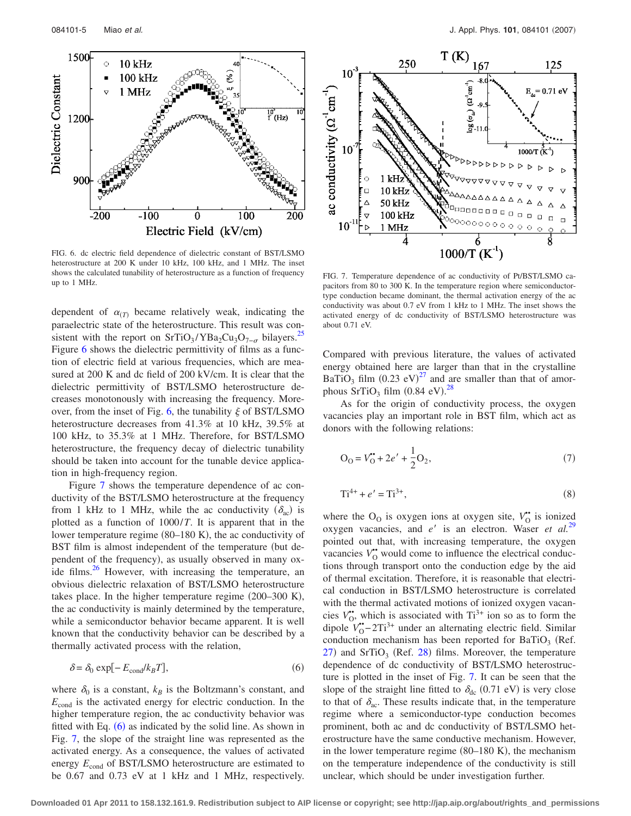<span id="page-4-0"></span>

FIG. 6. dc electric field dependence of dielectric constant of BST/LSMO heterostructure at 200 K under 10 kHz, 100 kHz, and 1 MHz. The inset shows the calculated tunability of heterostructure as a function of frequency shows the calculated tunability of heterostructure as a function of frequency FIG. 7. Temperature dependence of ac conductivity of Pt/BST/LSMO ca-<br>magitars from 80 to 300 K. In the temperature region where semiconductor-

dependent of  $\alpha_{(T)}$  became relatively weak, indicating the paraelectric state of the heterostructure. This result was consistent with the report on SrTiO<sub>3</sub>/YBa<sub>2</sub>Cu<sub>3</sub>O<sub>7- $\sigma$ </sub> bilayers.<sup>25</sup> Figure [6](#page-4-0) shows the dielectric permittivity of films as a function of electric field at various frequencies, which are measured at 200 K and dc field of 200 kV/cm. It is clear that the dielectric permittivity of BST/LSMO heterostructure decreases monotonously with increasing the frequency. More-over, from the inset of Fig. [6,](#page-4-0) the tunability  $\xi$  of BST/LSMO heterostructure decreases from 41.3% at 10 kHz, 39.5% at 100 kHz, to 35.3% at 1 MHz. Therefore, for BST/LSMO heterostructure, the frequency decay of dielectric tunability should be taken into account for the tunable device application in high-frequency region.

Figure [7](#page-4-1) shows the temperature dependence of ac conductivity of the BST/LSMO heterostructure at the frequency from 1 kHz to 1 MHz, while the ac conductivity  $(\delta_{ac})$  is plotted as a function of 1000/*T*. It is apparent that in the lower temperature regime (80–180 K), the ac conductivity of BST film is almost independent of the temperature (but dependent of the frequency), as usually observed in many oxide films. $^{26}$  However, with increasing the temperature, an obvious dielectric relaxation of BST/LSMO heterostructure takes place. In the higher temperature regime  $(200-300 \text{ K})$ , the ac conductivity is mainly determined by the temperature, while a semiconductor behavior became apparent. It is well known that the conductivity behavior can be described by a thermally activated process with the relation,

<span id="page-4-2"></span>
$$
\delta = \delta_0 \exp[-E_{\text{cond}}/k_B T],\tag{6}
$$

where  $\delta_0$  is a constant,  $k_B$  is the Boltzmann's constant, and *E*cond is the activated energy for electric conduction. In the higher temperature region, the ac conductivity behavior was fitted with Eq.  $(6)$  $(6)$  $(6)$  as indicated by the solid line. As shown in Fig. [7,](#page-4-1) the slope of the straight line was represented as the activated energy. As a consequence, the values of activated energy  $E_{\text{cond}}$  of BST/LSMO heterostructure are estimated to be 0.67 and 0.73 eV at 1 kHz and 1 MHz, respectively.

<span id="page-4-1"></span>

pacitors from 80 to 300 K. In the temperature region where semiconductortype conduction became dominant, the thermal activation energy of the ac conductivity was about 0.7 eV from 1 kHz to 1 MHz. The inset shows the activated energy of dc conductivity of BST/LSMO heterostructure was about 0.71 eV.

Compared with previous literature, the values of activated energy obtained here are larger than that in the crystalline BaTiO<sub>3</sub> film  $(0.23 \text{ eV})^{27}$  $(0.23 \text{ eV})^{27}$  $(0.23 \text{ eV})^{27}$  and are smaller than that of amorphous  $SrTiO<sub>3</sub>$  film  $(0.84 \text{ eV})$ .<sup>[28](#page-5-23)</sup>

As for the origin of conductivity process, the oxygen vacancies play an important role in BST film, which act as donors with the following relations:

$$
O_0 = V_0^* + 2e' + \frac{1}{2}O_2,\tag{7}
$$

$$
Ti^{4+} + e' = Ti^{3+},\tag{8}
$$

where the O<sub>O</sub> is oxygen ions at oxygen site,  $V_{\text{o}}^{\bullet}$  is ionized oxygen vacancies, and *e'* is an electron. Waser *et al.*<sup>[29](#page-5-24)</sup> pointed out that, with increasing temperature, the oxygen vacancies  $V_0^*$  would come to influence the electrical conductions through transport onto the conduction edge by the aid of thermal excitation. Therefore, it is reasonable that electrical conduction in BST/LSMO heterostructure is correlated with the thermal activated motions of ionized oxygen vacancies  $V_{\text{O}}^*$ , which is associated with Ti<sup>3+</sup> ion so as to form the dipole  $V_0^{\bullet}$ –2Ti<sup>3+</sup> under an alternating electric field. Similar conduction mechanism has been reported for BaTiO<sub>3</sub> (Ref.  $27)$  $27)$  and SrTiO<sub>3</sub> (Ref. [28](#page-5-23)) films. Moreover, the temperature dependence of dc conductivity of BST/LSMO heterostructure is plotted in the inset of Fig. [7.](#page-4-1) It can be seen that the slope of the straight line fitted to  $\delta_{dc}$  (0.71 eV) is very close to that of  $\delta_{ac}$ . These results indicate that, in the temperature regime where a semiconductor-type conduction becomes prominent, both ac and dc conductivity of BST/LSMO heterostructure have the same conductive mechanism. However, in the lower temperature regime  $(80-180 \text{ K})$ , the mechanism on the temperature independence of the conductivity is still unclear, which should be under investigation further.